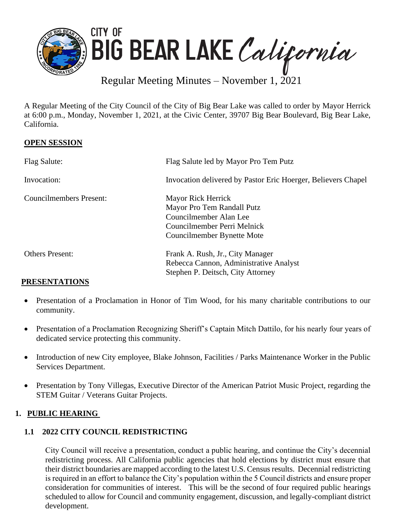

Regular Meeting Minutes – November 1, 2021

A Regular Meeting of the City Council of the City of Big Bear Lake was called to order by Mayor Herrick at 6:00 p.m., Monday, November 1, 2021, at the Civic Center, 39707 Big Bear Boulevard, Big Bear Lake, California.

# **OPEN SESSION**

| Flag Salute:                   | Flag Salute led by Mayor Pro Tem Putz                         |
|--------------------------------|---------------------------------------------------------------|
| Invocation:                    | Invocation delivered by Pastor Eric Hoerger, Believers Chapel |
| <b>Councilmembers Present:</b> | Mayor Rick Herrick                                            |
|                                | Mayor Pro Tem Randall Putz                                    |
|                                | Councilmember Alan Lee                                        |
|                                | Councilmember Perri Melnick                                   |
|                                | Councilmember Bynette Mote                                    |
| <b>Others Present:</b>         | Frank A. Rush, Jr., City Manager                              |
|                                | Rebecca Cannon, Administrative Analyst                        |
|                                | Stephen P. Deitsch, City Attorney                             |

# **PRESENTATIONS**

- Presentation of a Proclamation in Honor of Tim Wood, for his many charitable contributions to our community.
- Presentation of a Proclamation Recognizing Sheriff's Captain Mitch Dattilo, for his nearly four years of dedicated service protecting this community.
- Introduction of new City employee, Blake Johnson, Facilities / Parks Maintenance Worker in the Public Services Department.
- Presentation by Tony Villegas, Executive Director of the American Patriot Music Project, regarding the STEM Guitar / Veterans Guitar Projects.

# **1. PUBLIC HEARING**

# **1.1 2022 CITY COUNCIL REDISTRICTING**

City Council will receive a presentation, conduct a public hearing, and continue the City's decennial redistricting process. All California public agencies that hold elections by district must ensure that their district boundaries are mapped according to the latest U.S. Census results. Decennial redistricting is required in an effort to balance the City's population within the 5 Council districts and ensure proper consideration for communities of interest. This will be the second of four required public hearings scheduled to allow for Council and community engagement, discussion, and legally-compliant district development.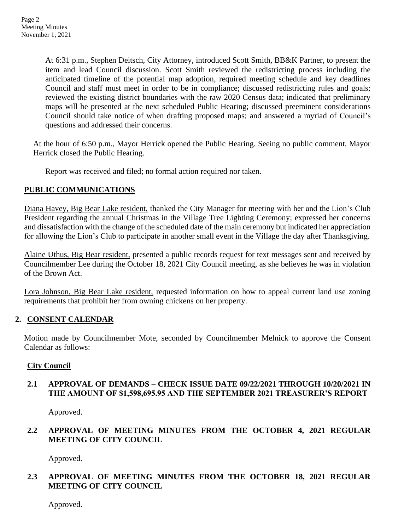At 6:31 p.m., Stephen Deitsch, City Attorney, introduced Scott Smith, BB&K Partner, to present the item and lead Council discussion. Scott Smith reviewed the redistricting process including the anticipated timeline of the potential map adoption, required meeting schedule and key deadlines Council and staff must meet in order to be in compliance; discussed redistricting rules and goals; reviewed the existing district boundaries with the raw 2020 Census data; indicated that preliminary maps will be presented at the next scheduled Public Hearing; discussed preeminent considerations Council should take notice of when drafting proposed maps; and answered a myriad of Council's questions and addressed their concerns.

At the hour of 6:50 p.m., Mayor Herrick opened the Public Hearing. Seeing no public comment, Mayor Herrick closed the Public Hearing.

Report was received and filed; no formal action required nor taken.

# **PUBLIC COMMUNICATIONS**

Diana Havey, Big Bear Lake resident, thanked the City Manager for meeting with her and the Lion's Club President regarding the annual Christmas in the Village Tree Lighting Ceremony; expressed her concerns and dissatisfaction with the change of the scheduled date of the main ceremony but indicated her appreciation for allowing the Lion's Club to participate in another small event in the Village the day after Thanksgiving.

Alaine Uthus, Big Bear resident, presented a public records request for text messages sent and received by Councilmember Lee during the October 18, 2021 City Council meeting, as she believes he was in violation of the Brown Act.

Lora Johnson, Big Bear Lake resident, requested information on how to appeal current land use zoning requirements that prohibit her from owning chickens on her property.

### **2. CONSENT CALENDAR**

Motion made by Councilmember Mote, seconded by Councilmember Melnick to approve the Consent Calendar as follows:

### **City Council**

# **2.1 APPROVAL OF DEMANDS – CHECK ISSUE DATE 09/22/2021 THROUGH 10/20/2021 IN THE AMOUNT OF \$1,598,695.95 AND THE SEPTEMBER 2021 TREASURER'S REPORT**

Approved.

# **2.2 APPROVAL OF MEETING MINUTES FROM THE OCTOBER 4, 2021 REGULAR MEETING OF CITY COUNCIL**

Approved.

# **2.3 APPROVAL OF MEETING MINUTES FROM THE OCTOBER 18, 2021 REGULAR MEETING OF CITY COUNCIL**

Approved.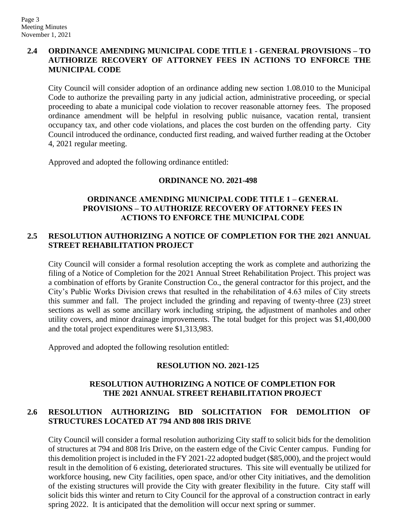# **2.4 ORDINANCE AMENDING MUNICIPAL CODE TITLE 1 - GENERAL PROVISIONS – TO AUTHORIZE RECOVERY OF ATTORNEY FEES IN ACTIONS TO ENFORCE THE MUNICIPAL CODE**

City Council will consider adoption of an ordinance adding new section 1.08.010 to the Municipal Code to authorize the prevailing party in any judicial action, administrative proceeding, or special proceeding to abate a municipal code violation to recover reasonable attorney fees. The proposed ordinance amendment will be helpful in resolving public nuisance, vacation rental, transient occupancy tax, and other code violations, and places the cost burden on the offending party. City Council introduced the ordinance, conducted first reading, and waived further reading at the October 4, 2021 regular meeting.

Approved and adopted the following ordinance entitled:

### **ORDINANCE NO. 2021-498**

# **ORDINANCE AMENDING MUNICIPAL CODE TITLE 1 – GENERAL PROVISIONS – TO AUTHORIZE RECOVERY OF ATTORNEY FEES IN ACTIONS TO ENFORCE THE MUNICIPAL CODE**

# **2.5 RESOLUTION AUTHORIZING A NOTICE OF COMPLETION FOR THE 2021 ANNUAL STREET REHABILITATION PROJECT**

City Council will consider a formal resolution accepting the work as complete and authorizing the filing of a Notice of Completion for the 2021 Annual Street Rehabilitation Project. This project was a combination of efforts by Granite Construction Co., the general contractor for this project, and the City's Public Works Division crews that resulted in the rehabilitation of 4.63 miles of City streets this summer and fall. The project included the grinding and repaving of twenty-three (23) street sections as well as some ancillary work including striping, the adjustment of manholes and other utility covers, and minor drainage improvements. The total budget for this project was \$1,400,000 and the total project expenditures were \$1,313,983.

Approved and adopted the following resolution entitled:

### **RESOLUTION NO. 2021-125**

# **RESOLUTION AUTHORIZING A NOTICE OF COMPLETION FOR THE 2021 ANNUAL STREET REHABILITATION PROJECT**

# **2.6 RESOLUTION AUTHORIZING BID SOLICITATION FOR DEMOLITION OF STRUCTURES LOCATED AT 794 AND 808 IRIS DRIVE**

City Council will consider a formal resolution authorizing City staff to solicit bids for the demolition of structures at 794 and 808 Iris Drive, on the eastern edge of the Civic Center campus. Funding for this demolition project is included in the FY 2021-22 adopted budget (\$85,000), and the project would result in the demolition of 6 existing, deteriorated structures. This site will eventually be utilized for workforce housing, new City facilities, open space, and/or other City initiatives, and the demolition of the existing structures will provide the City with greater flexibility in the future. City staff will solicit bids this winter and return to City Council for the approval of a construction contract in early spring 2022. It is anticipated that the demolition will occur next spring or summer.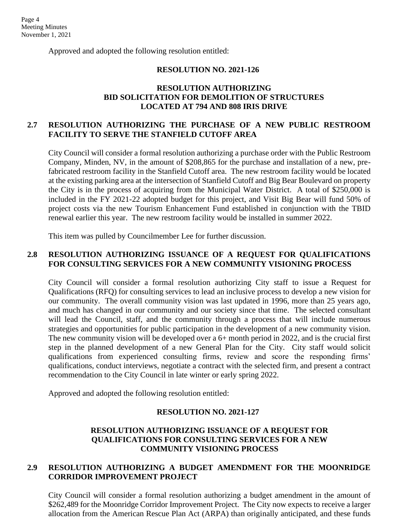Approved and adopted the following resolution entitled:

#### **RESOLUTION NO. 2021-126**

### **RESOLUTION AUTHORIZING BID SOLICITATION FOR DEMOLITION OF STRUCTURES LOCATED AT 794 AND 808 IRIS DRIVE**

## **2.7 RESOLUTION AUTHORIZING THE PURCHASE OF A NEW PUBLIC RESTROOM FACILITY TO SERVE THE STANFIELD CUTOFF AREA**

City Council will consider a formal resolution authorizing a purchase order with the Public Restroom Company, Minden, NV, in the amount of \$208,865 for the purchase and installation of a new, prefabricated restroom facility in the Stanfield Cutoff area. The new restroom facility would be located at the existing parking area at the intersection of Stanfield Cutoff and Big Bear Boulevard on property the City is in the process of acquiring from the Municipal Water District. A total of \$250,000 is included in the FY 2021-22 adopted budget for this project, and Visit Big Bear will fund 50% of project costs via the new Tourism Enhancement Fund established in conjunction with the TBID renewal earlier this year. The new restroom facility would be installed in summer 2022.

This item was pulled by Councilmember Lee for further discussion.

### **2.8 RESOLUTION AUTHORIZING ISSUANCE OF A REQUEST FOR QUALIFICATIONS FOR CONSULTING SERVICES FOR A NEW COMMUNITY VISIONING PROCESS**

City Council will consider a formal resolution authorizing City staff to issue a Request for Qualifications (RFQ) for consulting services to lead an inclusive process to develop a new vision for our community. The overall community vision was last updated in 1996, more than 25 years ago, and much has changed in our community and our society since that time. The selected consultant will lead the Council, staff, and the community through a process that will include numerous strategies and opportunities for public participation in the development of a new community vision. The new community vision will be developed over a 6+ month period in 2022, and is the crucial first step in the planned development of a new General Plan for the City. City staff would solicit qualifications from experienced consulting firms, review and score the responding firms' qualifications, conduct interviews, negotiate a contract with the selected firm, and present a contract recommendation to the City Council in late winter or early spring 2022.

Approved and adopted the following resolution entitled:

#### **RESOLUTION NO. 2021-127**

### **RESOLUTION AUTHORIZING ISSUANCE OF A REQUEST FOR QUALIFICATIONS FOR CONSULTING SERVICES FOR A NEW COMMUNITY VISIONING PROCESS**

### **2.9 RESOLUTION AUTHORIZING A BUDGET AMENDMENT FOR THE MOONRIDGE CORRIDOR IMPROVEMENT PROJECT**

City Council will consider a formal resolution authorizing a budget amendment in the amount of \$262,489 for the Moonridge Corridor Improvement Project. The City now expects to receive a larger allocation from the American Rescue Plan Act (ARPA) than originally anticipated, and these funds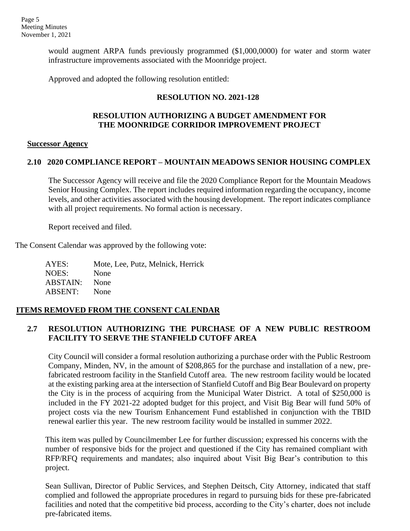would augment ARPA funds previously programmed (\$1,000,0000) for water and storm water infrastructure improvements associated with the Moonridge project.

Approved and adopted the following resolution entitled:

## **RESOLUTION NO. 2021-128**

### **RESOLUTION AUTHORIZING A BUDGET AMENDMENT FOR THE MOONRIDGE CORRIDOR IMPROVEMENT PROJECT**

#### **Successor Agency**

### **2.10 2020 COMPLIANCE REPORT – MOUNTAIN MEADOWS SENIOR HOUSING COMPLEX**

The Successor Agency will receive and file the 2020 Compliance Report for the Mountain Meadows Senior Housing Complex. The report includes required information regarding the occupancy, income levels, and other activities associated with the housing development. The report indicates compliance with all project requirements. No formal action is necessary.

Report received and filed.

The Consent Calendar was approved by the following vote:

AYES: Mote, Lee, Putz, Melnick, Herrick NOES: None ABSTAIN: None ABSENT: None

# **ITEMS REMOVED FROM THE CONSENT CALENDAR**

# **2.7 RESOLUTION AUTHORIZING THE PURCHASE OF A NEW PUBLIC RESTROOM FACILITY TO SERVE THE STANFIELD CUTOFF AREA**

City Council will consider a formal resolution authorizing a purchase order with the Public Restroom Company, Minden, NV, in the amount of \$208,865 for the purchase and installation of a new, prefabricated restroom facility in the Stanfield Cutoff area. The new restroom facility would be located at the existing parking area at the intersection of Stanfield Cutoff and Big Bear Boulevard on property the City is in the process of acquiring from the Municipal Water District. A total of \$250,000 is included in the FY 2021-22 adopted budget for this project, and Visit Big Bear will fund 50% of project costs via the new Tourism Enhancement Fund established in conjunction with the TBID renewal earlier this year. The new restroom facility would be installed in summer 2022.

This item was pulled by Councilmember Lee for further discussion; expressed his concerns with the number of responsive bids for the project and questioned if the City has remained compliant with RFP/RFQ requirements and mandates; also inquired about Visit Big Bear's contribution to this project.

Sean Sullivan, Director of Public Services, and Stephen Deitsch, City Attorney, indicated that staff complied and followed the appropriate procedures in regard to pursuing bids for these pre-fabricated facilities and noted that the competitive bid process, according to the City's charter, does not include pre-fabricated items.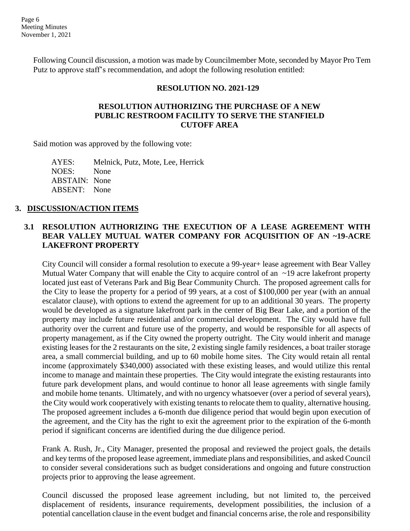Following Council discussion, a motion was made by Councilmember Mote, seconded by Mayor Pro Tem Putz to approve staff's recommendation, and adopt the following resolution entitled:

### **RESOLUTION NO. 2021-129**

### **RESOLUTION AUTHORIZING THE PURCHASE OF A NEW PUBLIC RESTROOM FACILITY TO SERVE THE STANFIELD CUTOFF AREA**

Said motion was approved by the following vote:

AYES: Melnick, Putz, Mote, Lee, Herrick NOES: None ABSTAIN: None ABSENT: None

### **3. DISCUSSION/ACTION ITEMS**

# **3.1 RESOLUTION AUTHORIZING THE EXECUTION OF A LEASE AGREEMENT WITH BEAR VALLEY MUTUAL WATER COMPANY FOR ACQUISITION OF AN ~19-ACRE LAKEFRONT PROPERTY**

City Council will consider a formal resolution to execute a 99-year+ lease agreement with Bear Valley Mutual Water Company that will enable the City to acquire control of an ~19 acre lakefront property located just east of Veterans Park and Big Bear Community Church. The proposed agreement calls for the City to lease the property for a period of 99 years, at a cost of \$100,000 per year (with an annual escalator clause), with options to extend the agreement for up to an additional 30 years. The property would be developed as a signature lakefront park in the center of Big Bear Lake, and a portion of the property may include future residential and/or commercial development. The City would have full authority over the current and future use of the property, and would be responsible for all aspects of property management, as if the City owned the property outright. The City would inherit and manage existing leases for the 2 restaurants on the site, 2 existing single family residences, a boat trailer storage area, a small commercial building, and up to 60 mobile home sites. The City would retain all rental income (approximately \$340,000) associated with these existing leases, and would utilize this rental income to manage and maintain these properties. The City would integrate the existing restaurants into future park development plans, and would continue to honor all lease agreements with single family and mobile home tenants. Ultimately, and with no urgency whatsoever (over a period of several years), the City would work cooperatively with existing tenants to relocate them to quality, alternative housing. The proposed agreement includes a 6-month due diligence period that would begin upon execution of the agreement, and the City has the right to exit the agreement prior to the expiration of the 6-month period if significant concerns are identified during the due diligence period.

Frank A. Rush, Jr., City Manager, presented the proposal and reviewed the project goals, the details and key terms of the proposed lease agreement, immediate plans and responsibilities, and asked Council to consider several considerations such as budget considerations and ongoing and future construction projects prior to approving the lease agreement.

Council discussed the proposed lease agreement including, but not limited to, the perceived displacement of residents, insurance requirements, development possibilities, the inclusion of a potential cancellation clause in the event budget and financial concerns arise, the role and responsibility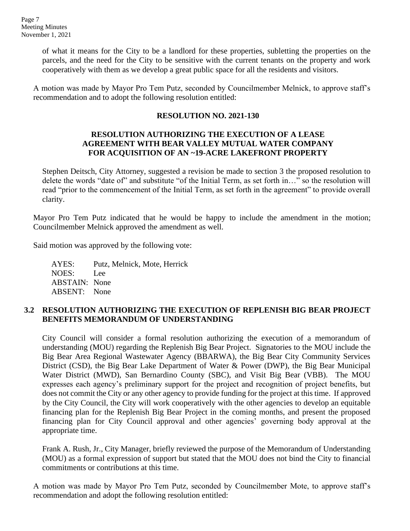of what it means for the City to be a landlord for these properties, subletting the properties on the parcels, and the need for the City to be sensitive with the current tenants on the property and work cooperatively with them as we develop a great public space for all the residents and visitors.

A motion was made by Mayor Pro Tem Putz, seconded by Councilmember Melnick, to approve staff's recommendation and to adopt the following resolution entitled:

### **RESOLUTION NO. 2021-130**

### **RESOLUTION AUTHORIZING THE EXECUTION OF A LEASE AGREEMENT WITH BEAR VALLEY MUTUAL WATER COMPANY FOR ACQUISITION OF AN ~19-ACRE LAKEFRONT PROPERTY**

Stephen Deitsch, City Attorney, suggested a revision be made to section 3 the proposed resolution to delete the words "date of" and substitute "of the Initial Term, as set forth in…" so the resolution will read "prior to the commencement of the Initial Term, as set forth in the agreement" to provide overall clarity.

Mayor Pro Tem Putz indicated that he would be happy to include the amendment in the motion; Councilmember Melnick approved the amendment as well.

Said motion was approved by the following vote:

AYES: Putz, Melnick, Mote, Herrick NOES: Lee ABSTAIN: None ABSENT: None

# **3.2 RESOLUTION AUTHORIZING THE EXECUTION OF REPLENISH BIG BEAR PROJECT BENEFITS MEMORANDUM OF UNDERSTANDING**

City Council will consider a formal resolution authorizing the execution of a memorandum of understanding (MOU) regarding the Replenish Big Bear Project. Signatories to the MOU include the Big Bear Area Regional Wastewater Agency (BBARWA), the Big Bear City Community Services District (CSD), the Big Bear Lake Department of Water & Power (DWP), the Big Bear Municipal Water District (MWD), San Bernardino County (SBC), and Visit Big Bear (VBB). The MOU expresses each agency's preliminary support for the project and recognition of project benefits, but does not commit the City or any other agency to provide funding for the project at this time. If approved by the City Council, the City will work cooperatively with the other agencies to develop an equitable financing plan for the Replenish Big Bear Project in the coming months, and present the proposed financing plan for City Council approval and other agencies' governing body approval at the appropriate time.

Frank A. Rush, Jr., City Manager, briefly reviewed the purpose of the Memorandum of Understanding (MOU) as a formal expression of support but stated that the MOU does not bind the City to financial commitments or contributions at this time.

A motion was made by Mayor Pro Tem Putz, seconded by Councilmember Mote, to approve staff's recommendation and adopt the following resolution entitled: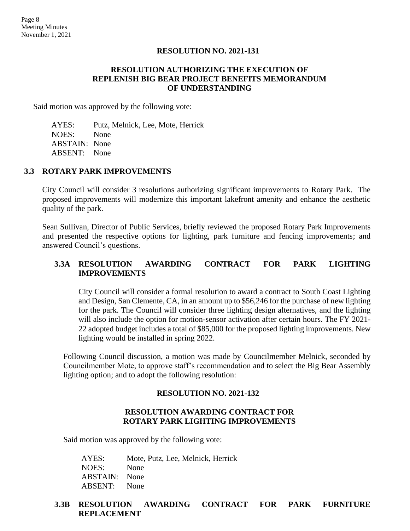#### **RESOLUTION NO. 2021-131**

### **RESOLUTION AUTHORIZING THE EXECUTION OF REPLENISH BIG BEAR PROJECT BENEFITS MEMORANDUM OF UNDERSTANDING**

Said motion was approved by the following vote:

AYES: Putz, Melnick, Lee, Mote, Herrick NOES: None ABSTAIN: None ABSENT: None

#### **3.3 ROTARY PARK IMPROVEMENTS**

City Council will consider 3 resolutions authorizing significant improvements to Rotary Park. The proposed improvements will modernize this important lakefront amenity and enhance the aesthetic quality of the park.

Sean Sullivan, Director of Public Services, briefly reviewed the proposed Rotary Park Improvements and presented the respective options for lighting, park furniture and fencing improvements; and answered Council's questions.

### **3.3A RESOLUTION AWARDING CONTRACT FOR PARK LIGHTING IMPROVEMENTS**

City Council will consider a formal resolution to award a contract to South Coast Lighting and Design, San Clemente, CA, in an amount up to \$56,246 for the purchase of new lighting for the park. The Council will consider three lighting design alternatives, and the lighting will also include the option for motion-sensor activation after certain hours. The FY 2021- 22 adopted budget includes a total of \$85,000 for the proposed lighting improvements. New lighting would be installed in spring 2022.

Following Council discussion, a motion was made by Councilmember Melnick, seconded by Councilmember Mote, to approve staff's recommendation and to select the Big Bear Assembly lighting option; and to adopt the following resolution:

#### **RESOLUTION NO. 2021-132**

#### **RESOLUTION AWARDING CONTRACT FOR ROTARY PARK LIGHTING IMPROVEMENTS**

Said motion was approved by the following vote:

AYES: Mote, Putz, Lee, Melnick, Herrick NOES: None ABSTAIN: None ABSENT: None

#### **3.3B RESOLUTION AWARDING CONTRACT FOR PARK FURNITURE REPLACEMENT**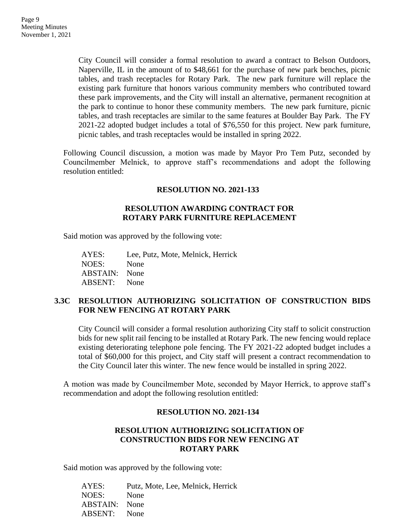City Council will consider a formal resolution to award a contract to Belson Outdoors, Naperville, IL in the amount of to \$48,661 for the purchase of new park benches, picnic tables, and trash receptacles for Rotary Park. The new park furniture will replace the existing park furniture that honors various community members who contributed toward these park improvements, and the City will install an alternative, permanent recognition at the park to continue to honor these community members. The new park furniture, picnic tables, and trash receptacles are similar to the same features at Boulder Bay Park. The FY 2021-22 adopted budget includes a total of \$76,550 for this project. New park furniture, picnic tables, and trash receptacles would be installed in spring 2022.

Following Council discussion, a motion was made by Mayor Pro Tem Putz, seconded by Councilmember Melnick, to approve staff's recommendations and adopt the following resolution entitled:

### **RESOLUTION NO. 2021-133**

### **RESOLUTION AWARDING CONTRACT FOR ROTARY PARK FURNITURE REPLACEMENT**

Said motion was approved by the following vote:

AYES: Lee, Putz, Mote, Melnick, Herrick NOES: None ABSTAIN: None ABSENT: None

### **3.3C RESOLUTION AUTHORIZING SOLICITATION OF CONSTRUCTION BIDS FOR NEW FENCING AT ROTARY PARK**

City Council will consider a formal resolution authorizing City staff to solicit construction bids for new split rail fencing to be installed at Rotary Park. The new fencing would replace existing deteriorating telephone pole fencing. The FY 2021-22 adopted budget includes a total of \$60,000 for this project, and City staff will present a contract recommendation to the City Council later this winter. The new fence would be installed in spring 2022.

A motion was made by Councilmember Mote, seconded by Mayor Herrick, to approve staff's recommendation and adopt the following resolution entitled:

### **RESOLUTION NO. 2021-134**

## **RESOLUTION AUTHORIZING SOLICITATION OF CONSTRUCTION BIDS FOR NEW FENCING AT ROTARY PARK**

Said motion was approved by the following vote:

AYES: Putz, Mote, Lee, Melnick, Herrick NOES: None ABSTAIN: None ABSENT: None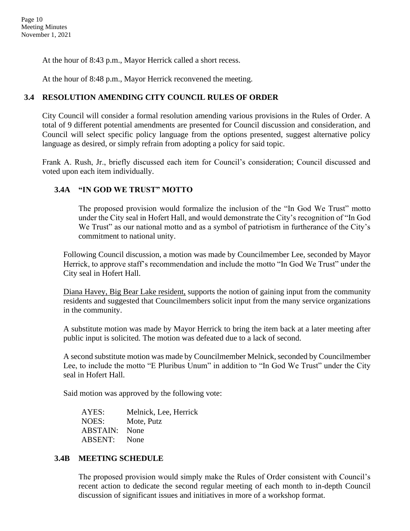At the hour of 8:43 p.m., Mayor Herrick called a short recess.

At the hour of 8:48 p.m., Mayor Herrick reconvened the meeting.

# **3.4 RESOLUTION AMENDING CITY COUNCIL RULES OF ORDER**

City Council will consider a formal resolution amending various provisions in the Rules of Order. A total of 9 different potential amendments are presented for Council discussion and consideration, and Council will select specific policy language from the options presented, suggest alternative policy language as desired, or simply refrain from adopting a policy for said topic.

Frank A. Rush, Jr., briefly discussed each item for Council's consideration; Council discussed and voted upon each item individually.

# **3.4A "IN GOD WE TRUST" MOTTO**

The proposed provision would formalize the inclusion of the "In God We Trust" motto under the City seal in Hofert Hall, and would demonstrate the City's recognition of "In God We Trust" as our national motto and as a symbol of patriotism in furtherance of the City's commitment to national unity.

Following Council discussion, a motion was made by Councilmember Lee, seconded by Mayor Herrick, to approve staff's recommendation and include the motto "In God We Trust" under the City seal in Hofert Hall.

Diana Havey, Big Bear Lake resident, supports the notion of gaining input from the community residents and suggested that Councilmembers solicit input from the many service organizations in the community.

A substitute motion was made by Mayor Herrick to bring the item back at a later meeting after public input is solicited. The motion was defeated due to a lack of second.

A second substitute motion was made by Councilmember Melnick, seconded by Councilmember Lee, to include the motto "E Pluribus Unum" in addition to "In God We Trust" under the City seal in Hofert Hall.

Said motion was approved by the following vote:

AYES: Melnick, Lee, Herrick NOES: Mote, Putz ABSTAIN: None ABSENT: None

# **3.4B MEETING SCHEDULE**

The proposed provision would simply make the Rules of Order consistent with Council's recent action to dedicate the second regular meeting of each month to in-depth Council discussion of significant issues and initiatives in more of a workshop format.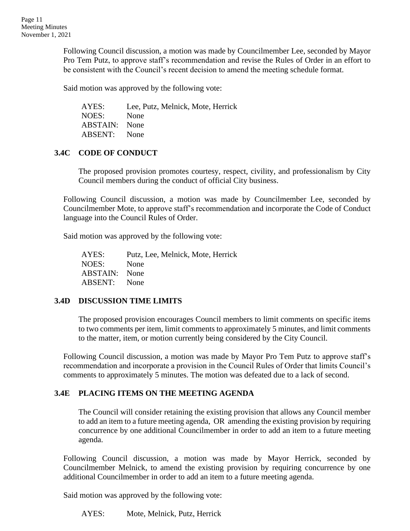Following Council discussion, a motion was made by Councilmember Lee, seconded by Mayor Pro Tem Putz, to approve staff's recommendation and revise the Rules of Order in an effort to be consistent with the Council's recent decision to amend the meeting schedule format.

Said motion was approved by the following vote:

AYES: Lee, Putz, Melnick, Mote, Herrick NOES: None ABSTAIN: None ABSENT: None

### **3.4C CODE OF CONDUCT**

The proposed provision promotes courtesy, respect, civility, and professionalism by City Council members during the conduct of official City business.

Following Council discussion, a motion was made by Councilmember Lee, seconded by Councilmember Mote, to approve staff's recommendation and incorporate the Code of Conduct language into the Council Rules of Order.

Said motion was approved by the following vote:

AYES: Putz, Lee, Melnick, Mote, Herrick NOES: None ABSTAIN: None ABSENT: None

### **3.4D DISCUSSION TIME LIMITS**

The proposed provision encourages Council members to limit comments on specific items to two comments per item, limit comments to approximately 5 minutes, and limit comments to the matter, item, or motion currently being considered by the City Council.

Following Council discussion, a motion was made by Mayor Pro Tem Putz to approve staff's recommendation and incorporate a provision in the Council Rules of Order that limits Council's comments to approximately 5 minutes. The motion was defeated due to a lack of second.

# **3.4E PLACING ITEMS ON THE MEETING AGENDA**

The Council will consider retaining the existing provision that allows any Council member to add an item to a future meeting agenda, OR amending the existing provision by requiring concurrence by one additional Councilmember in order to add an item to a future meeting agenda.

Following Council discussion, a motion was made by Mayor Herrick, seconded by Councilmember Melnick, to amend the existing provision by requiring concurrence by one additional Councilmember in order to add an item to a future meeting agenda.

Said motion was approved by the following vote:

AYES: Mote, Melnick, Putz, Herrick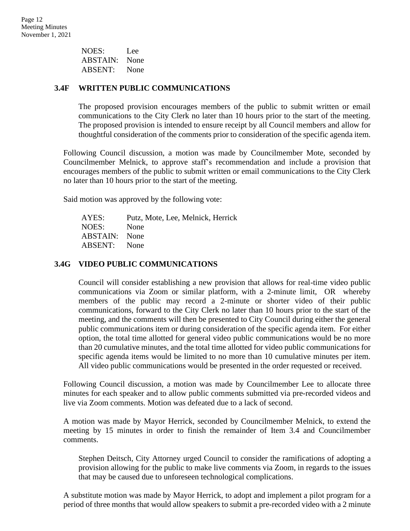NOES: Lee ABSTAIN: None ABSENT: None

### **3.4F WRITTEN PUBLIC COMMUNICATIONS**

The proposed provision encourages members of the public to submit written or email communications to the City Clerk no later than 10 hours prior to the start of the meeting. The proposed provision is intended to ensure receipt by all Council members and allow for thoughtful consideration of the comments prior to consideration of the specific agenda item.

Following Council discussion, a motion was made by Councilmember Mote, seconded by Councilmember Melnick, to approve staff's recommendation and include a provision that encourages members of the public to submit written or email communications to the City Clerk no later than 10 hours prior to the start of the meeting.

Said motion was approved by the following vote:

AYES: Putz, Mote, Lee, Melnick, Herrick NOES: None ABSTAIN: None ABSENT: None

#### **3.4G VIDEO PUBLIC COMMUNICATIONS**

Council will consider establishing a new provision that allows for real-time video public communications via Zoom or similar platform, with a 2-minute limit, OR whereby members of the public may record a 2-minute or shorter video of their public communications, forward to the City Clerk no later than 10 hours prior to the start of the meeting, and the comments will then be presented to City Council during either the general public communications item or during consideration of the specific agenda item. For either option, the total time allotted for general video public communications would be no more than 20 cumulative minutes, and the total time allotted for video public communications for specific agenda items would be limited to no more than 10 cumulative minutes per item. All video public communications would be presented in the order requested or received.

Following Council discussion, a motion was made by Councilmember Lee to allocate three minutes for each speaker and to allow public comments submitted via pre-recorded videos and live via Zoom comments. Motion was defeated due to a lack of second.

A motion was made by Mayor Herrick, seconded by Councilmember Melnick, to extend the meeting by 15 minutes in order to finish the remainder of Item 3.4 and Councilmember comments.

Stephen Deitsch, City Attorney urged Council to consider the ramifications of adopting a provision allowing for the public to make live comments via Zoom, in regards to the issues that may be caused due to unforeseen technological complications.

A substitute motion was made by Mayor Herrick, to adopt and implement a pilot program for a period of three months that would allow speakers to submit a pre-recorded video with a 2 minute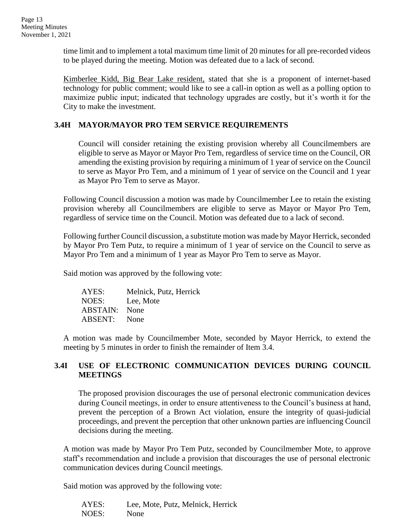time limit and to implement a total maximum time limit of 20 minutes for all pre-recorded videos to be played during the meeting. Motion was defeated due to a lack of second.

Kimberlee Kidd, Big Bear Lake resident, stated that she is a proponent of internet-based technology for public comment; would like to see a call-in option as well as a polling option to maximize public input; indicated that technology upgrades are costly, but it's worth it for the City to make the investment.

### **3.4H MAYOR/MAYOR PRO TEM SERVICE REQUIREMENTS**

Council will consider retaining the existing provision whereby all Councilmembers are eligible to serve as Mayor or Mayor Pro Tem, regardless of service time on the Council, OR amending the existing provision by requiring a minimum of 1 year of service on the Council to serve as Mayor Pro Tem, and a minimum of 1 year of service on the Council and 1 year as Mayor Pro Tem to serve as Mayor.

Following Council discussion a motion was made by Councilmember Lee to retain the existing provision whereby all Councilmembers are eligible to serve as Mayor or Mayor Pro Tem, regardless of service time on the Council. Motion was defeated due to a lack of second.

Following further Council discussion, a substitute motion was made by Mayor Herrick, seconded by Mayor Pro Tem Putz, to require a minimum of 1 year of service on the Council to serve as Mayor Pro Tem and a minimum of 1 year as Mayor Pro Tem to serve as Mayor.

Said motion was approved by the following vote:

AYES: Melnick, Putz, Herrick NOES: Lee, Mote ABSTAIN: None ABSENT: None

A motion was made by Councilmember Mote, seconded by Mayor Herrick, to extend the meeting by 5 minutes in order to finish the remainder of Item 3.4.

### **3.4I USE OF ELECTRONIC COMMUNICATION DEVICES DURING COUNCIL MEETINGS**

The proposed provision discourages the use of personal electronic communication devices during Council meetings, in order to ensure attentiveness to the Council's business at hand, prevent the perception of a Brown Act violation, ensure the integrity of quasi-judicial proceedings, and prevent the perception that other unknown parties are influencing Council decisions during the meeting.

A motion was made by Mayor Pro Tem Putz, seconded by Councilmember Mote, to approve staff's recommendation and include a provision that discourages the use of personal electronic communication devices during Council meetings.

Said motion was approved by the following vote:

AYES: Lee, Mote, Putz, Melnick, Herrick NOES: None